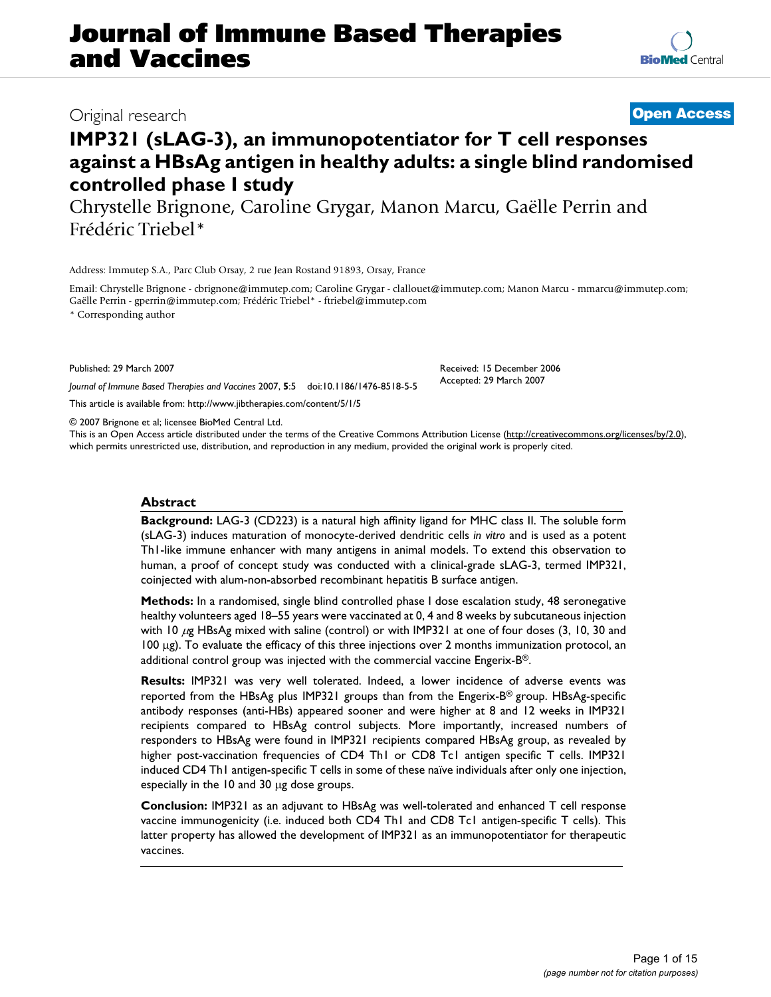# **Journal of Immune Based Therapies and Vaccines**

# Original research **[Open Access](http://www.biomedcentral.com/info/about/charter/)**

# **IMP321 (sLAG-3), an immunopotentiator for T cell responses against a HBsAg antigen in healthy adults: a single blind randomised controlled phase I study**

Chrystelle Brignone, Caroline Grygar, Manon Marcu, Gaëlle Perrin and Frédéric Triebel\*

Address: Immutep S.A., Parc Club Orsay, 2 rue Jean Rostand 91893, Orsay, France

Email: Chrystelle Brignone - cbrignone@immutep.com; Caroline Grygar - clallouet@immutep.com; Manon Marcu - mmarcu@immutep.com; Gaëlle Perrin - gperrin@immutep.com; Frédéric Triebel\* - ftriebel@immutep.com

> Received: 15 December 2006 Accepted: 29 March 2007

\* Corresponding author

Published: 29 March 2007

*Journal of Immune Based Therapies and Vaccines* 2007, **5**:5 doi:10.1186/1476-8518-5-5

[This article is available from: http://www.jibtherapies.com/content/5/1/5](http://www.jibtherapies.com/content/5/1/5)

© 2007 Brignone et al; licensee BioMed Central Ltd.

This is an Open Access article distributed under the terms of the Creative Commons Attribution License [\(http://creativecommons.org/licenses/by/2.0\)](http://creativecommons.org/licenses/by/2.0), which permits unrestricted use, distribution, and reproduction in any medium, provided the original work is properly cited.

# **Abstract**

**Background:** LAG-3 (CD223) is a natural high affinity ligand for MHC class II. The soluble form (sLAG-3) induces maturation of monocyte-derived dendritic cells *in vitro* and is used as a potent Th1-like immune enhancer with many antigens in animal models. To extend this observation to human, a proof of concept study was conducted with a clinical-grade sLAG-3, termed IMP321, coinjected with alum-non-absorbed recombinant hepatitis B surface antigen.

**Methods:** In a randomised, single blind controlled phase I dose escalation study, 48 seronegative healthy volunteers aged 18–55 years were vaccinated at 0, 4 and 8 weeks by subcutaneous injection with 10  $\mu$ g HBsAg mixed with saline (control) or with IMP321 at one of four doses (3, 10, 30 and 100 μg). To evaluate the efficacy of this three injections over 2 months immunization protocol, an additional control group was injected with the commercial vaccine Engerix-B®.

**Results:** IMP321 was very well tolerated. Indeed, a lower incidence of adverse events was reported from the HBsAg plus IMP321 groups than from the Engerix-B<sup>®</sup> group. HBsAg-specific antibody responses (anti-HBs) appeared sooner and were higher at 8 and 12 weeks in IMP321 recipients compared to HBsAg control subjects. More importantly, increased numbers of responders to HBsAg were found in IMP321 recipients compared HBsAg group, as revealed by higher post-vaccination frequencies of CD4 Th1 or CD8 Tc1 antigen specific T cells. IMP321 induced CD4 Th1 antigen-specific T cells in some of these naïve individuals after only one injection, especially in the 10 and 30 μg dose groups.

**Conclusion:** IMP321 as an adjuvant to HBsAg was well-tolerated and enhanced T cell response vaccine immunogenicity (i.e. induced both CD4 Th1 and CD8 Tc1 antigen-specific T cells). This latter property has allowed the development of IMP321 as an immunopotentiator for therapeutic vaccines.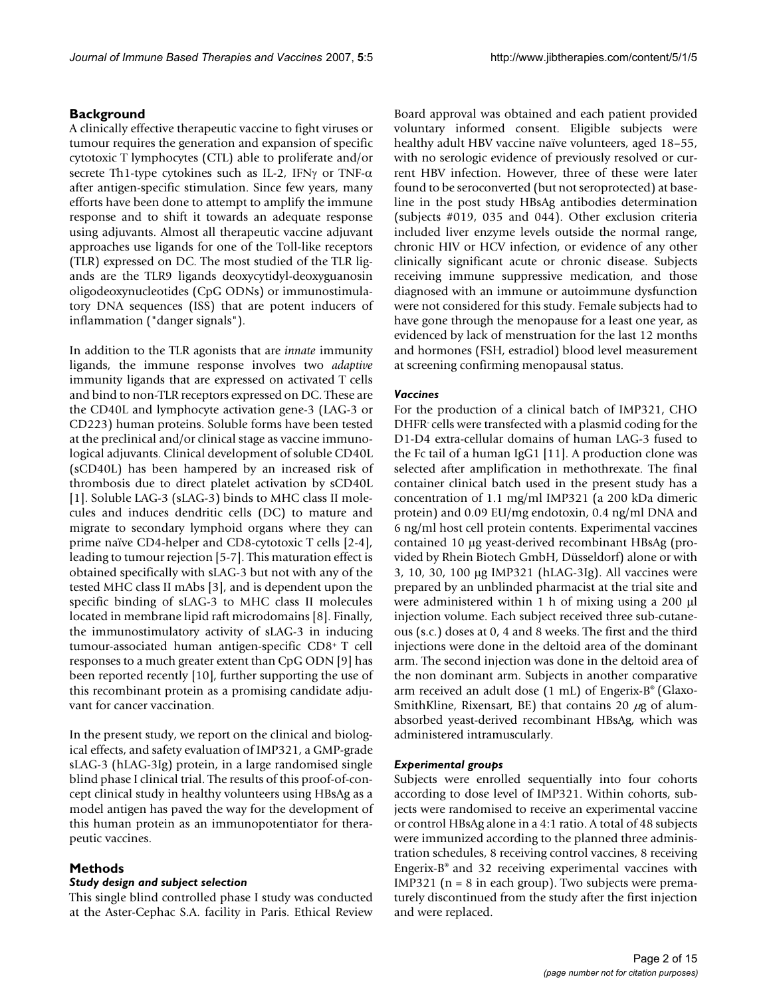# **Background**

A clinically effective therapeutic vaccine to fight viruses or tumour requires the generation and expansion of specific cytotoxic T lymphocytes (CTL) able to proliferate and/or secrete Th1-type cytokines such as IL-2, IFNγ or TNF-α after antigen-specific stimulation. Since few years, many efforts have been done to attempt to amplify the immune response and to shift it towards an adequate response using adjuvants. Almost all therapeutic vaccine adjuvant approaches use ligands for one of the Toll-like receptors (TLR) expressed on DC. The most studied of the TLR ligands are the TLR9 ligands deoxycytidyl-deoxyguanosin oligodeoxynucleotides (CpG ODNs) or immunostimulatory DNA sequences (ISS) that are potent inducers of inflammation ("danger signals").

In addition to the TLR agonists that are *innate* immunity ligands, the immune response involves two *adaptive* immunity ligands that are expressed on activated T cells and bind to non-TLR receptors expressed on DC. These are the CD40L and lymphocyte activation gene-3 (LAG-3 or CD223) human proteins. Soluble forms have been tested at the preclinical and/or clinical stage as vaccine immunological adjuvants. Clinical development of soluble CD40L (sCD40L) has been hampered by an increased risk of thrombosis due to direct platelet activation by sCD40L [1]. Soluble LAG-3 (sLAG-3) binds to MHC class II molecules and induces dendritic cells (DC) to mature and migrate to secondary lymphoid organs where they can prime naïve CD4-helper and CD8-cytotoxic T cells [2-4], leading to tumour rejection [5-7]. This maturation effect is obtained specifically with sLAG-3 but not with any of the tested MHC class II mAbs [3], and is dependent upon the specific binding of sLAG-3 to MHC class II molecules located in membrane lipid raft microdomains [8]. Finally, the immunostimulatory activity of sLAG-3 in inducing tumour-associated human antigen-specific CD8+ T cell responses to a much greater extent than CpG ODN [9] has been reported recently [10], further supporting the use of this recombinant protein as a promising candidate adjuvant for cancer vaccination.

In the present study, we report on the clinical and biological effects, and safety evaluation of IMP321, a GMP-grade sLAG-3 (hLAG-3Ig) protein, in a large randomised single blind phase I clinical trial. The results of this proof-of-concept clinical study in healthy volunteers using HBsAg as a model antigen has paved the way for the development of this human protein as an immunopotentiator for therapeutic vaccines.

# **Methods**

#### *Study design and subject selection*

This single blind controlled phase I study was conducted at the Aster-Cephac S.A. facility in Paris. Ethical Review Board approval was obtained and each patient provided voluntary informed consent. Eligible subjects were healthy adult HBV vaccine naïve volunteers, aged 18–55, with no serologic evidence of previously resolved or current HBV infection. However, three of these were later found to be seroconverted (but not seroprotected) at baseline in the post study HBsAg antibodies determination (subjects #019, 035 and 044). Other exclusion criteria included liver enzyme levels outside the normal range, chronic HIV or HCV infection, or evidence of any other clinically significant acute or chronic disease. Subjects receiving immune suppressive medication, and those diagnosed with an immune or autoimmune dysfunction were not considered for this study. Female subjects had to have gone through the menopause for a least one year, as evidenced by lack of menstruation for the last 12 months and hormones (FSH, estradiol) blood level measurement at screening confirming menopausal status.

### *Vaccines*

For the production of a clinical batch of IMP321, CHO DHFR- cells were transfected with a plasmid coding for the D1-D4 extra-cellular domains of human LAG-3 fused to the Fc tail of a human IgG1 [11]. A production clone was selected after amplification in methothrexate. The final container clinical batch used in the present study has a concentration of 1.1 mg/ml IMP321 (a 200 kDa dimeric protein) and 0.09 EU/mg endotoxin, 0.4 ng/ml DNA and 6 ng/ml host cell protein contents. Experimental vaccines contained 10 μg yeast-derived recombinant HBsAg (provided by Rhein Biotech GmbH, Düsseldorf) alone or with 3, 10, 30, 100 μg IMP321 (hLAG-3Ig). All vaccines were prepared by an unblinded pharmacist at the trial site and were administered within 1 h of mixing using a 200 μl injection volume. Each subject received three sub-cutaneous (s.c.) doses at 0, 4 and 8 weeks. The first and the third injections were done in the deltoid area of the dominant arm. The second injection was done in the deltoid area of the non dominant arm. Subjects in another comparative arm received an adult dose (1 mL) of Engerix-B® (Glaxo-SmithKline, Rixensart, BE) that contains 20  $\mu$ g of alumabsorbed yeast-derived recombinant HBsAg, which was administered intramuscularly.

#### *Experimental groups*

Subjects were enrolled sequentially into four cohorts according to dose level of IMP321. Within cohorts, subjects were randomised to receive an experimental vaccine or control HBsAg alone in a 4:1 ratio. A total of 48 subjects were immunized according to the planned three administration schedules, 8 receiving control vaccines, 8 receiving Engerix-B® and 32 receiving experimental vaccines with IMP321 ( $n = 8$  in each group). Two subjects were prematurely discontinued from the study after the first injection and were replaced.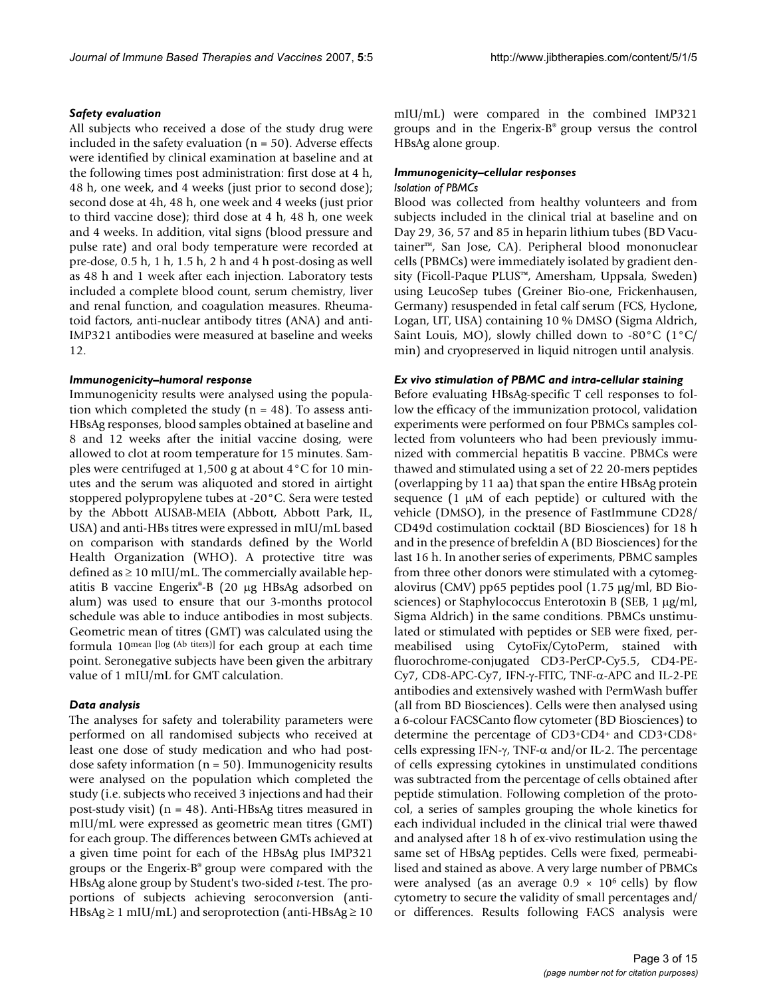#### *Safety evaluation*

All subjects who received a dose of the study drug were included in the safety evaluation ( $n = 50$ ). Adverse effects were identified by clinical examination at baseline and at the following times post administration: first dose at 4 h, 48 h, one week, and 4 weeks (just prior to second dose); second dose at 4h, 48 h, one week and 4 weeks (just prior to third vaccine dose); third dose at 4 h, 48 h, one week and 4 weeks. In addition, vital signs (blood pressure and pulse rate) and oral body temperature were recorded at pre-dose, 0.5 h, 1 h, 1.5 h, 2 h and 4 h post-dosing as well as 48 h and 1 week after each injection. Laboratory tests included a complete blood count, serum chemistry, liver and renal function, and coagulation measures. Rheumatoid factors, anti-nuclear antibody titres (ANA) and anti-IMP321 antibodies were measured at baseline and weeks 12.

#### *Immunogenicity–humoral response*

Immunogenicity results were analysed using the population which completed the study ( $n = 48$ ). To assess anti-HBsAg responses, blood samples obtained at baseline and 8 and 12 weeks after the initial vaccine dosing, were allowed to clot at room temperature for 15 minutes. Samples were centrifuged at 1,500 g at about 4°C for 10 minutes and the serum was aliquoted and stored in airtight stoppered polypropylene tubes at -20°C. Sera were tested by the Abbott AUSAB-MEIA (Abbott, Abbott Park, IL, USA) and anti-HBs titres were expressed in mIU/mL based on comparison with standards defined by the World Health Organization (WHO). A protective titre was defined as  $\geq 10$  mIU/mL. The commercially available hepatitis B vaccine Engerix®-B (20 μg HBsAg adsorbed on alum) was used to ensure that our 3-months protocol schedule was able to induce antibodies in most subjects. Geometric mean of titres (GMT) was calculated using the formula 10mean [log (Ab titers)] for each group at each time point. Seronegative subjects have been given the arbitrary value of 1 mIU/mL for GMT calculation.

# *Data analysis*

The analyses for safety and tolerability parameters were performed on all randomised subjects who received at least one dose of study medication and who had postdose safety information ( $n = 50$ ). Immunogenicity results were analysed on the population which completed the study (i.e. subjects who received 3 injections and had their post-study visit) (n = 48). Anti-HBsAg titres measured in mIU/mL were expressed as geometric mean titres (GMT) for each group. The differences between GMTs achieved at a given time point for each of the HBsAg plus IMP321 groups or the Engerix-B® group were compared with the HBsAg alone group by Student's two-sided *t*-test. The proportions of subjects achieving seroconversion (anti-HBsAg  $\geq$  1 mIU/mL) and seroprotection (anti-HBsAg  $\geq$  10

mIU/mL) were compared in the combined IMP321 groups and in the Engerix-B® group versus the control HBsAg alone group.

#### *Immunogenicity–cellular responses*

#### *Isolation of PBMCs*

Blood was collected from healthy volunteers and from subjects included in the clinical trial at baseline and on Day 29, 36, 57 and 85 in heparin lithium tubes (BD Vacutainer™, San Jose, CA). Peripheral blood mononuclear cells (PBMCs) were immediately isolated by gradient density (Ficoll-Paque PLUS™, Amersham, Uppsala, Sweden) using LeucoSep tubes (Greiner Bio-one, Frickenhausen, Germany) resuspended in fetal calf serum (FCS, Hyclone, Logan, UT, USA) containing 10 % DMSO (Sigma Aldrich, Saint Louis, MO), slowly chilled down to -80 $^{\circ}$ C (1 $^{\circ}$ C/ min) and cryopreserved in liquid nitrogen until analysis.

### *Ex vivo stimulation of PBMC and intra-cellular staining*

Before evaluating HBsAg-specific T cell responses to follow the efficacy of the immunization protocol, validation experiments were performed on four PBMCs samples collected from volunteers who had been previously immunized with commercial hepatitis B vaccine. PBMCs were thawed and stimulated using a set of 22 20-mers peptides (overlapping by 11 aa) that span the entire HBsAg protein sequence (1 μM of each peptide) or cultured with the vehicle (DMSO), in the presence of FastImmune CD28/ CD49d costimulation cocktail (BD Biosciences) for 18 h and in the presence of brefeldin A (BD Biosciences) for the last 16 h. In another series of experiments, PBMC samples from three other donors were stimulated with a cytomegalovirus (CMV) pp65 peptides pool (1.75 μg/ml, BD Biosciences) or Staphylococcus Enterotoxin B (SEB, 1 μg/ml, Sigma Aldrich) in the same conditions. PBMCs unstimulated or stimulated with peptides or SEB were fixed, permeabilised using CytoFix/CytoPerm, stained with fluorochrome-conjugated CD3-PerCP-Cy5.5, CD4-PE-Cy7, CD8-APC-Cy7, IFN-γ-FITC, TNF-α-APC and IL-2-PE antibodies and extensively washed with PermWash buffer (all from BD Biosciences). Cells were then analysed using a 6-colour FACSCanto flow cytometer (BD Biosciences) to determine the percentage of CD3+CD4+ and CD3+CD8+ cells expressing IFN-γ, TNF- $\alpha$  and/or IL-2. The percentage of cells expressing cytokines in unstimulated conditions was subtracted from the percentage of cells obtained after peptide stimulation. Following completion of the protocol, a series of samples grouping the whole kinetics for each individual included in the clinical trial were thawed and analysed after 18 h of ex-vivo restimulation using the same set of HBsAg peptides. Cells were fixed, permeabilised and stained as above. A very large number of PBMCs were analysed (as an average  $0.9 \times 10^6$  cells) by flow cytometry to secure the validity of small percentages and/ or differences. Results following FACS analysis were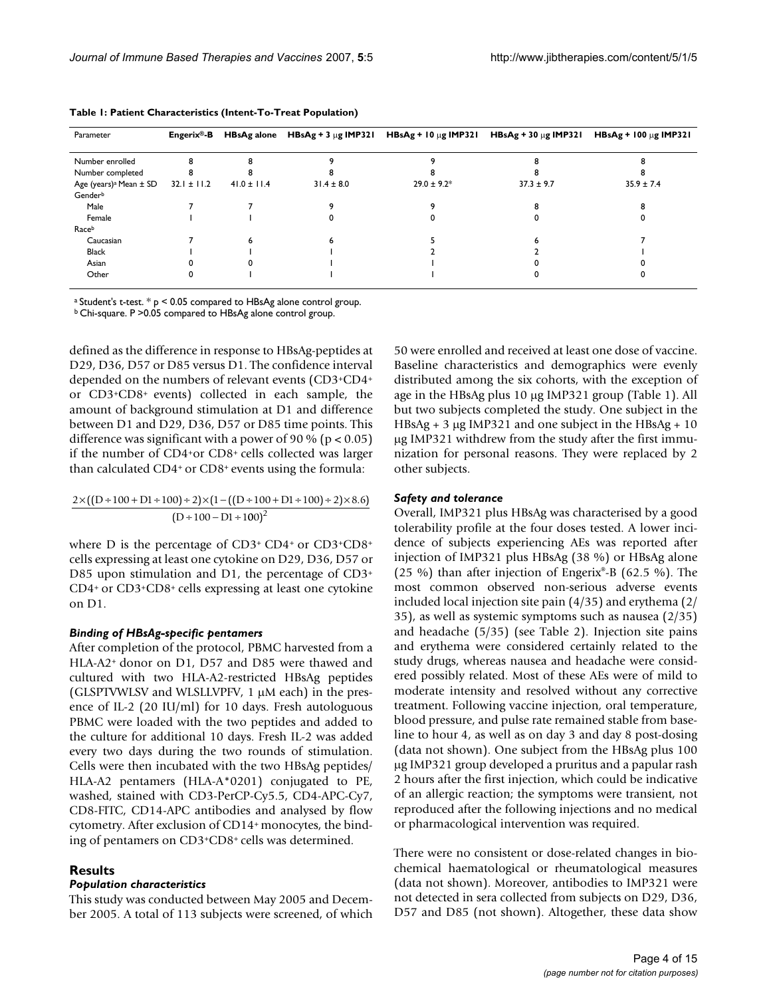| Parameter                          | ${\sf Energy}^{\circledR}\text{-}{\sf B}$ | <b>HBsAg alone</b> |                |                  |                | HBsAg + 3 $\mu$ g IMP321 HBsAg + 10 $\mu$ g IMP321 HBsAg + 30 $\mu$ g IMP321 HBsAg + 100 $\mu$ g IMP321 |
|------------------------------------|-------------------------------------------|--------------------|----------------|------------------|----------------|---------------------------------------------------------------------------------------------------------|
| Number enrolled                    |                                           |                    |                |                  |                |                                                                                                         |
| Number completed                   |                                           |                    |                |                  |                |                                                                                                         |
| Age (years) <sup>a</sup> Mean ± SD | $32.1 \pm 11.2$                           | $41.0 \pm 11.4$    | $31.4 \pm 8.0$ | $29.0 \pm 9.2^*$ | $37.3 \pm 9.7$ | $35.9 \pm 7.4$                                                                                          |
| Genderb                            |                                           |                    |                |                  |                |                                                                                                         |
| Male                               |                                           |                    |                |                  |                |                                                                                                         |
| Female                             |                                           |                    |                |                  |                |                                                                                                         |
| Raceb                              |                                           |                    |                |                  |                |                                                                                                         |
| Caucasian                          |                                           |                    |                |                  |                |                                                                                                         |
| Black                              |                                           |                    |                |                  |                |                                                                                                         |
| Asian                              |                                           |                    |                |                  |                |                                                                                                         |
| Other                              |                                           |                    |                |                  |                |                                                                                                         |

**Table 1: Patient Characteristics (Intent-To-Treat Population)**

<sup>a</sup> Student's t-test.  $*$  p < 0.05 compared to HBsAg alone control group.

b Chi-square. P >0.05 compared to HBsAg alone control group.

defined as the difference in response to HBsAg-peptides at D29, D36, D57 or D85 versus D1. The confidence interval depended on the numbers of relevant events (CD3+CD4+ or CD3+CD8+ events) collected in each sample, the amount of background stimulation at D1 and difference between D1 and D29, D36, D57 or D85 time points. This difference was significant with a power of 90 % ( $p < 0.05$ ) if the number of CD4+or CD8+ cells collected was larger than calculated CD4+ or CD8+ events using the formula:

$$
\frac{2 \times ((D+100+D1+100)+2) \times (1-((D+100+D1+100)+2) \times 8.6)}{(D+100-D1+100)^2}
$$

where D is the percentage of CD3+ CD4+ or CD3+CD8+ cells expressing at least one cytokine on D29, D36, D57 or D85 upon stimulation and D1, the percentage of CD3+ CD4+ or CD3+CD8+ cells expressing at least one cytokine on D1.

# *Binding of HBsAg-specific pentamers*

After completion of the protocol, PBMC harvested from a HLA-A2+ donor on D1, D57 and D85 were thawed and cultured with two HLA-A2-restricted HBsAg peptides (GLSPTVWLSV and WLSLLVPFV, 1 μM each) in the presence of IL-2 (20 IU/ml) for 10 days. Fresh autologuous PBMC were loaded with the two peptides and added to the culture for additional 10 days. Fresh IL-2 was added every two days during the two rounds of stimulation. Cells were then incubated with the two HBsAg peptides/ HLA-A2 pentamers (HLA-A\*0201) conjugated to PE, washed, stained with CD3-PerCP-Cy5.5, CD4-APC-Cy7, CD8-FITC, CD14-APC antibodies and analysed by flow cytometry. After exclusion of CD14+ monocytes, the binding of pentamers on CD3+CD8+ cells was determined.

# **Results**

# *Population characteristics*

This study was conducted between May 2005 and December 2005. A total of 113 subjects were screened, of which 50 were enrolled and received at least one dose of vaccine. Baseline characteristics and demographics were evenly distributed among the six cohorts, with the exception of age in the HBsAg plus 10 μg IMP321 group (Table 1). All but two subjects completed the study. One subject in the  $HBsAg + 3 \mu g$  IMP321 and one subject in the HBsAg + 10 μg IMP321 withdrew from the study after the first immunization for personal reasons. They were replaced by 2 other subjects.

#### *Safety and tolerance*

Overall, IMP321 plus HBsAg was characterised by a good tolerability profile at the four doses tested. A lower incidence of subjects experiencing AEs was reported after injection of IMP321 plus HBsAg (38 %) or HBsAg alone (25 %) than after injection of Engerix®-B (62.5 %). The most common observed non-serious adverse events included local injection site pain (4/35) and erythema (2/ 35), as well as systemic symptoms such as nausea (2/35) and headache (5/35) (see Table 2). Injection site pains and erythema were considered certainly related to the study drugs, whereas nausea and headache were considered possibly related. Most of these AEs were of mild to moderate intensity and resolved without any corrective treatment. Following vaccine injection, oral temperature, blood pressure, and pulse rate remained stable from baseline to hour 4, as well as on day 3 and day 8 post-dosing (data not shown). One subject from the HBsAg plus 100 μg IMP321 group developed a pruritus and a papular rash 2 hours after the first injection, which could be indicative of an allergic reaction; the symptoms were transient, not reproduced after the following injections and no medical or pharmacological intervention was required.

There were no consistent or dose-related changes in biochemical haematological or rheumatological measures (data not shown). Moreover, antibodies to IMP321 were not detected in sera collected from subjects on D29, D36, D57 and D85 (not shown). Altogether, these data show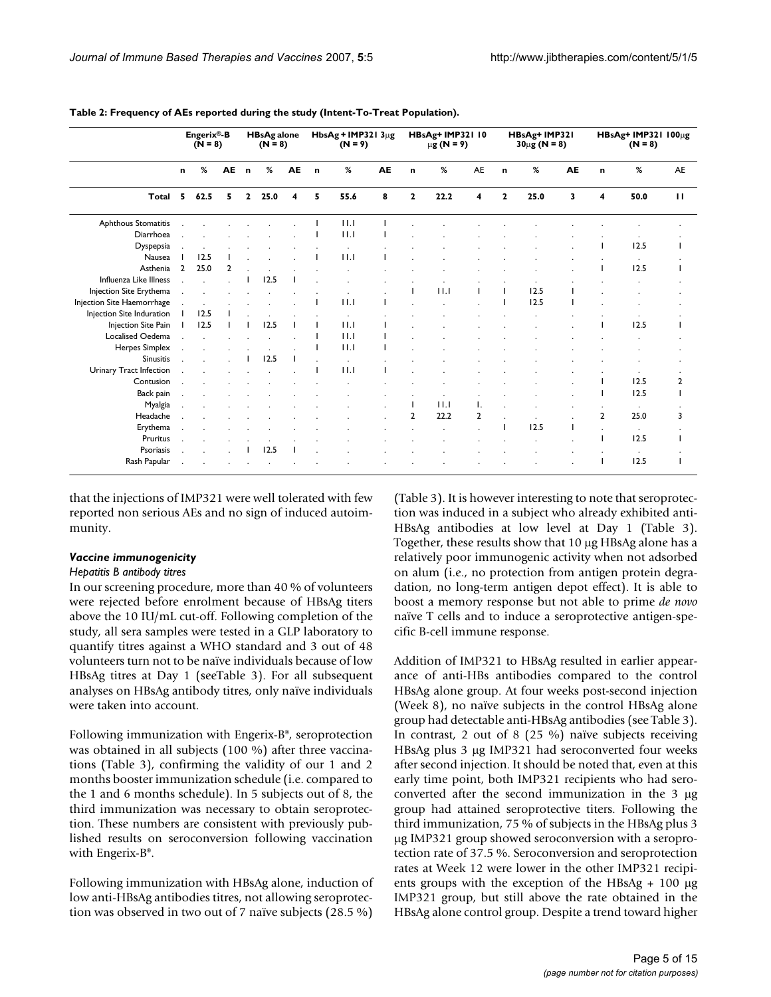|                               | Engerix®-B<br>$(N = 8)$ |              | <b>HBsAg alone</b><br>$(N = 8)$ |              | HbsAg + IMP321 $3\mu$ g<br>$(N = 9)$ |    | HBsAg+ IMP321 10<br>$μg(N = 9)$ |      | HBsAg+ IMP321<br>$30 \mu g (N = 8)$ |                |      | HBsAg+ IMP321 100µg<br>$(N = 8)$ |              |      |    |                |           |              |
|-------------------------------|-------------------------|--------------|---------------------------------|--------------|--------------------------------------|----|---------------------------------|------|-------------------------------------|----------------|------|----------------------------------|--------------|------|----|----------------|-----------|--------------|
|                               | n                       | %            | <b>AE</b>                       | $\mathbf{r}$ | %                                    | AE | $\mathbf{r}$                    | %    | AE                                  | n              | %    | <b>AE</b>                        | $\mathbf n$  | %    | AE | $\mathbf{r}$   | %         | AE           |
| Total                         | 5.                      | 62.5         | 5                               | $\mathbf{2}$ | 25.0                                 | 4  | 5                               | 55.6 | 8                                   | $\mathbf{2}$   | 22.2 | 4                                | $\mathbf{2}$ | 25.0 | 3  | 4              | 50.0      | $\mathbf{H}$ |
| Aphthous Stomatitis           |                         |              |                                 |              |                                      |    |                                 | 11.1 |                                     |                |      |                                  |              |      |    |                |           |              |
| Diarrhoea                     |                         |              |                                 |              |                                      |    |                                 | 11.1 |                                     |                |      |                                  |              |      |    |                |           |              |
| Dyspepsia                     |                         |              |                                 |              |                                      |    |                                 |      |                                     |                |      |                                  |              |      |    |                | 12.5      |              |
| Nausea                        |                         | 12.5         |                                 |              |                                      |    |                                 | 11.1 |                                     |                |      |                                  |              |      |    |                |           |              |
| Asthenia                      | $\mathcal{P}$           | 25.0         | $\mathbf{2}$                    |              |                                      |    |                                 |      |                                     |                |      |                                  |              |      |    |                | 12.5      |              |
| <b>Influenza Like Illness</b> |                         |              |                                 |              | 12.5                                 |    |                                 |      |                                     |                |      |                                  |              |      |    |                |           |              |
| Injection Site Erythema       |                         |              |                                 |              |                                      |    |                                 |      |                                     |                | 11.1 |                                  |              | 12.5 |    |                |           |              |
| Injection Site Haemorrhage    |                         | $\mathbf{r}$ |                                 |              |                                      |    |                                 | 11.1 |                                     |                |      |                                  |              | 12.5 |    |                |           |              |
| Injection Site Induration     |                         | 12.5         |                                 |              |                                      |    |                                 |      |                                     |                |      |                                  |              |      |    |                |           |              |
| Injection Site Pain           |                         | 12.5         |                                 |              | 12.5                                 |    |                                 | 11.1 |                                     |                |      |                                  |              |      |    |                | 12.5      |              |
| Localised Oedema              |                         |              |                                 |              |                                      |    |                                 | 11.1 |                                     |                |      |                                  |              |      |    |                |           |              |
| Herpes Simplex                |                         |              |                                 |              | $\mathbf{r}$                         |    |                                 | 11.1 |                                     |                |      |                                  |              |      |    |                |           |              |
| <b>Sinusitis</b>              |                         |              |                                 |              | 12.5                                 |    |                                 |      |                                     |                |      |                                  |              |      |    |                |           |              |
| Urinary Tract Infection       |                         |              |                                 |              |                                      |    |                                 | 11.1 |                                     |                |      |                                  |              |      |    |                |           |              |
| Contusion                     |                         |              |                                 |              |                                      |    |                                 |      |                                     |                |      |                                  |              |      |    |                | 12.5      | 2            |
| Back pain                     |                         |              |                                 |              |                                      |    |                                 |      |                                     |                |      |                                  |              |      |    |                | 12.5      |              |
| Myalgia                       |                         |              |                                 |              |                                      |    |                                 |      |                                     |                | 11.1 | Ι.                               |              |      |    |                |           |              |
| Headache                      |                         |              |                                 |              |                                      |    |                                 |      |                                     | $\overline{2}$ | 22.2 | $\overline{2}$                   |              |      |    | $\overline{2}$ | 25.0      | 3            |
| Erythema                      |                         |              |                                 |              |                                      |    |                                 |      |                                     |                |      |                                  |              | 12.5 |    |                | $\cdot$   |              |
| Pruritus                      |                         |              |                                 |              |                                      |    |                                 |      |                                     |                |      |                                  |              |      |    |                | 12.5      |              |
| Psoriasis                     |                         |              |                                 |              | 12.5                                 |    |                                 |      |                                     |                |      |                                  |              |      |    |                | $\bullet$ |              |
| Rash Papular                  |                         |              |                                 |              |                                      |    |                                 |      |                                     |                |      |                                  |              |      |    |                | 12.5      |              |

**Table 2: Frequency of AEs reported during the study (Intent-To-Treat Population).**

that the injections of IMP321 were well tolerated with few reported non serious AEs and no sign of induced autoimmunity.

#### *Vaccine immunogenicity*

#### *Hepatitis B antibody titres*

In our screening procedure, more than 40 % of volunteers were rejected before enrolment because of HBsAg titers above the 10 IU/mL cut-off. Following completion of the study, all sera samples were tested in a GLP laboratory to quantify titres against a WHO standard and 3 out of 48 volunteers turn not to be naïve individuals because of low HBsAg titres at Day 1 (seeTable 3). For all subsequent analyses on HBsAg antibody titres, only naïve individuals were taken into account.

Following immunization with Engerix-B®, seroprotection was obtained in all subjects (100 %) after three vaccinations (Table 3), confirming the validity of our 1 and 2 months booster immunization schedule (i.e. compared to the 1 and 6 months schedule). In 5 subjects out of 8, the third immunization was necessary to obtain seroprotection. These numbers are consistent with previously published results on seroconversion following vaccination with Engerix-B®.

Following immunization with HBsAg alone, induction of low anti-HBsAg antibodies titres, not allowing seroprotection was observed in two out of 7 naïve subjects (28.5 %)

(Table 3). It is however interesting to note that seroprotection was induced in a subject who already exhibited anti-HBsAg antibodies at low level at Day 1 (Table 3). Together, these results show that 10 μg HBsAg alone has a relatively poor immunogenic activity when not adsorbed on alum (i.e., no protection from antigen protein degradation, no long-term antigen depot effect). It is able to boost a memory response but not able to prime *de novo* naïve T cells and to induce a seroprotective antigen-specific B-cell immune response.

Addition of IMP321 to HBsAg resulted in earlier appearance of anti-HBs antibodies compared to the control HBsAg alone group. At four weeks post-second injection (Week 8), no naïve subjects in the control HBsAg alone group had detectable anti-HBsAg antibodies (see Table 3). In contrast, 2 out of 8 (25 %) naïve subjects receiving HBsAg plus 3 μg IMP321 had seroconverted four weeks after second injection. It should be noted that, even at this early time point, both IMP321 recipients who had seroconverted after the second immunization in the 3 μg group had attained seroprotective titers. Following the third immunization, 75 % of subjects in the HBsAg plus 3 μg IMP321 group showed seroconversion with a seroprotection rate of 37.5 %. Seroconversion and seroprotection rates at Week 12 were lower in the other IMP321 recipients groups with the exception of the HBsAg + 100 μg IMP321 group, but still above the rate obtained in the HBsAg alone control group. Despite a trend toward higher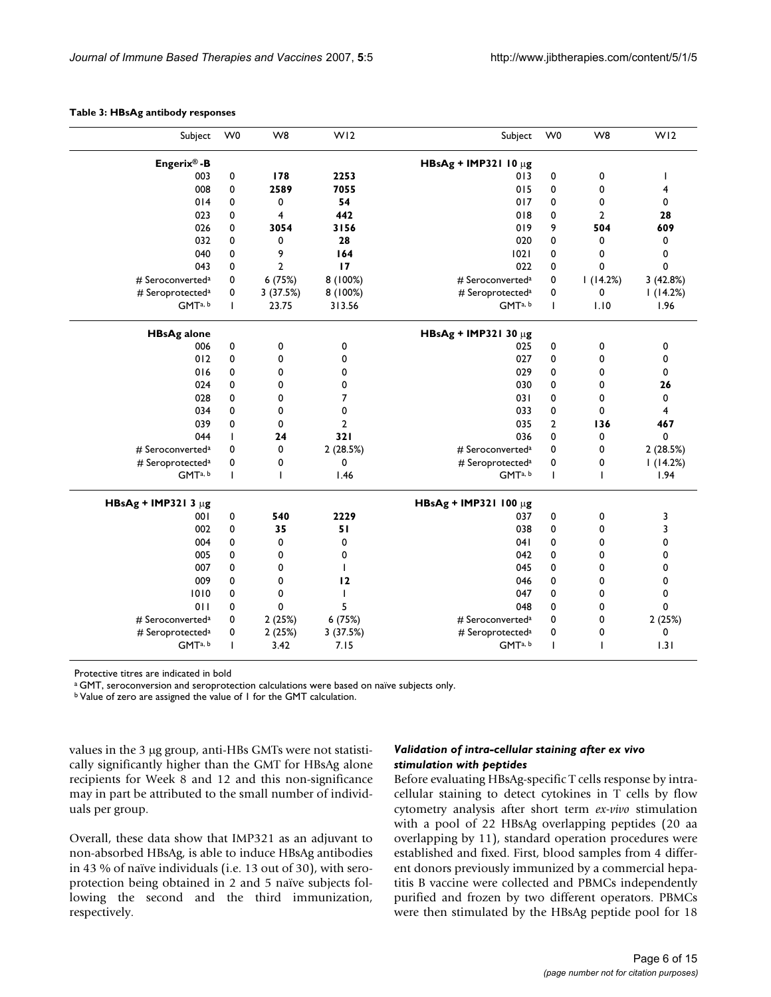|  |  |  | Table 3: HBsAg antibody responses |
|--|--|--|-----------------------------------|
|--|--|--|-----------------------------------|

| Subject                      | W <sub>0</sub> | W <sub>8</sub>          | WI <sub>2</sub> | Subject                      | W <sub>0</sub> | W <sub>8</sub> | W <sub>12</sub> |
|------------------------------|----------------|-------------------------|-----------------|------------------------------|----------------|----------------|-----------------|
| Engerix®-B                   |                |                         |                 | HBsAg + IMP321 10 $\mu$ g    |                |                |                 |
| 003                          | 0              | 178                     | 2253            | 013                          | $\mathbf 0$    | 0              |                 |
| 008                          | 0              | 2589                    | 7055            | 015                          | 0              | 0              | 4               |
| 014                          | 0              | $\mathbf 0$             | 54              | 017                          | 0              | 0              | 0               |
| 023                          | 0              | $\overline{\mathbf{4}}$ | 442             | 018                          | 0              | $\overline{2}$ | 28              |
| 026                          | 0              | 3054                    | 3156            | 019                          | 9              | 504            | 609             |
| 032                          | 0              | 0                       | 28              | 020                          | 0              | 0              | 0               |
| 040                          | 0              | 9                       | 164             | 1021                         | 0              | 0              | 0               |
| 043                          | $\mathbf 0$    | $\overline{2}$          | 17              | 022                          | 0              | $\mathbf 0$    | 0               |
| # Seroconverted <sup>a</sup> | 0              | 6(75%)                  | 8(100%)         | # Seroconverted <sup>a</sup> | 0              | 1(14.2%)       | 3(42.8%)        |
| # Seroprotected <sup>a</sup> | 0              | 3 (37.5%)               | 8 (100%)        | # Seroprotected <sup>a</sup> | 0              | 0              | 1(14.2%)        |
| GMTa, b                      | $\mathbf{I}$   | 23.75                   | 313.56          | GMTa, b                      | $\mathbf{I}$   | 1.10           | 1.96            |
| <b>HBsAg alone</b>           |                |                         |                 | HBsAg + IMP321 30 $\mu$ g    |                |                |                 |
| 006                          | $\pmb{0}$      | 0                       | 0               | 025                          | 0              | 0              | 0               |
| 012                          | 0              | 0                       | 0               | 027                          | 0              | 0              | 0               |
| 016                          | 0              | 0                       | 0               | 029                          | 0              | 0              | 0               |
| 024                          | 0              | 0                       | 0               | 030                          | 0              | 0              | 26              |
| 028                          | 0              | 0                       | 7               | 031                          | 0              | 0              | 0               |
| 034                          | 0              | 0                       | 0               | 033                          | 0              | 0              | 4               |
| 039                          | $\mathbf 0$    | 0                       | $\overline{2}$  | 035                          | $\overline{2}$ | 136            | 467             |
| 044                          | T              | 24                      | 321             | 036                          | 0              | 0              | 0               |
| # Seroconverted <sup>a</sup> | 0              | 0                       | 2 (28.5%)       | # Seroconverted <sup>a</sup> | 0              | 0              | 2 (28.5%)       |
| # Seroprotected <sup>a</sup> | 0              | 0                       | 0               | # Seroprotected <sup>a</sup> | 0              | 0              | 1(14.2%)        |
| GMTa, b                      | T              | $\mathbf{I}$            | 1.46            | GMTa, b                      | $\mathbf{I}$   | T              | 1.94            |
| HBsAg + IMP321 3 $\mu$ g     |                |                         |                 | HBsAg + IMP321 100 µg        |                |                |                 |
| 001                          | 0              | 540                     | 2229            | 037                          | 0              | 0              | 3               |
| 002                          | 0              | 35                      | 51              | 038                          | 0              | 0              | 3               |
| 004                          | 0              | 0                       | 0               | 041                          | 0              | 0              | 0               |
| 005                          | 0              | 0                       | 0               | 042                          | 0              | 0              | 0               |
| 007                          | 0              | $\mathbf 0$             | $\mathbf{I}$    | 045                          | 0              | 0              | 0               |
| 009                          | 0              | 0                       | 12              | 046                          | 0              | 0              | 0               |
| 1010                         | 0              | 0                       | $\mathbf{I}$    | 047                          | 0              | 0              | 0               |
| 011                          | 0              | 0                       | 5               | 048                          | 0              | 0              | 0               |
| # Seroconverted <sup>a</sup> | 0              | 2(25%)                  | 6 (75%)         | # Seroconverted <sup>a</sup> | 0              | 0              | 2(25%)          |
| # Seroprotected <sup>a</sup> | 0              | 2(25%)                  | 3 (37.5%)       | # Seroprotected <sup>a</sup> | 0              | 0              | 0               |
| GMTa, b                      | T              | 3.42                    | 7.15            | GMTa, b                      | I              | I.             | 1.31            |
|                              |                |                         |                 |                              |                |                |                 |

Protective titres are indicated in bold

<sup>a</sup> GMT, seroconversion and seroprotection calculations were based on naïve subjects only.

b Value of zero are assigned the value of 1 for the GMT calculation.

values in the 3 μg group, anti-HBs GMTs were not statistically significantly higher than the GMT for HBsAg alone recipients for Week 8 and 12 and this non-significance may in part be attributed to the small number of individuals per group.

Overall, these data show that IMP321 as an adjuvant to non-absorbed HBsAg, is able to induce HBsAg antibodies in 43 % of naïve individuals (i.e. 13 out of 30), with seroprotection being obtained in 2 and 5 naïve subjects following the second and the third immunization, respectively.

# *Validation of intra-cellular staining after ex vivo stimulation with peptides*

Before evaluating HBsAg-specific T cells response by intracellular staining to detect cytokines in T cells by flow cytometry analysis after short term *ex-vivo* stimulation with a pool of 22 HBsAg overlapping peptides (20 aa overlapping by 11), standard operation procedures were established and fixed. First, blood samples from 4 different donors previously immunized by a commercial hepatitis B vaccine were collected and PBMCs independently purified and frozen by two different operators. PBMCs were then stimulated by the HBsAg peptide pool for 18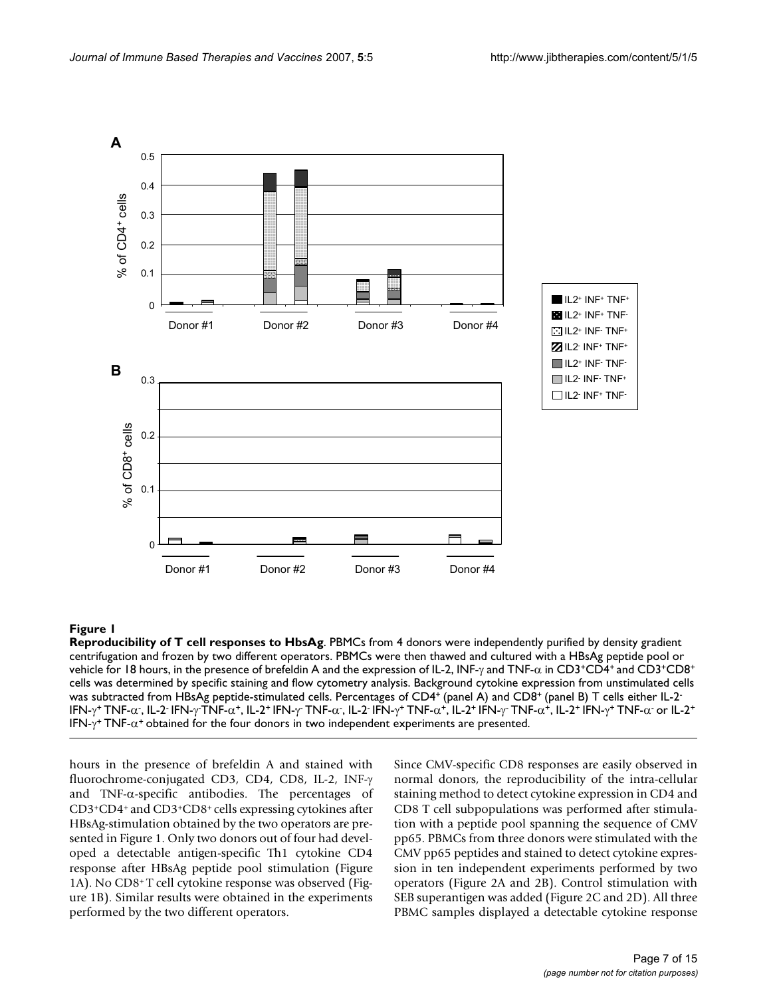

**Reproducibility of T cell responses to HbsAg**. PBMCs from 4 donors were independently purified by density gradient centrifugation and frozen by two different operators. PBMCs were then thawed and cultured with a HBsAg peptide pool or vehicle for 18 hours, in the presence of brefeldin A and the expression of IL-2, INF-γ and TNF-α in CD3+CD4+ and CD3+CD8+ cells was determined by specific staining and flow cytometry analysis. Background cytokine expression from unstimulated cells was subtracted from HBsAg peptide-stimulated cells. Percentages of CD4<sup>+</sup> (panel A) and CD8<sup>+</sup> (panel B) T cells either IL-2<sup>-</sup> ΙFN-γ\* TNF-α-, IL-2<sup>.</sup> IFN-γTNF-α+, IL-2+ IFN-γ<sup>.</sup> TNF-α-, IL-2· IFN-γ\* TNF-α+, IL-2\* IFN-γ TNF-α+, IL-2\* IFN-γ\* TNF-α· or IL-2\* IFN- $\gamma^+$  TNF- $\alpha^+$  obtained for the four donors in two independent experiments are presented.

hours in the presence of brefeldin A and stained with fluorochrome-conjugated CD3, CD4, CD8, IL-2, INF-γ and TNF- $\alpha$ -specific antibodies. The percentages of CD3+CD4+ and CD3+CD8+ cells expressing cytokines after HBsAg-stimulation obtained by the two operators are presented in Figure 1. Only two donors out of four had developed a detectable antigen-specific Th1 cytokine CD4 response after HBsAg peptide pool stimulation (Figure 1A). No CD8+ T cell cytokine response was observed (Figure 1B). Similar results were obtained in the experiments performed by the two different operators.

Since CMV-specific CD8 responses are easily observed in normal donors, the reproducibility of the intra-cellular staining method to detect cytokine expression in CD4 and CD8 T cell subpopulations was performed after stimulation with a peptide pool spanning the sequence of CMV pp65. PBMCs from three donors were stimulated with the CMV pp65 peptides and stained to detect cytokine expression in ten independent experiments performed by two operators (Figure 2A and 2B). Control stimulation with SEB superantigen was added (Figure 2C and 2D). All three PBMC samples displayed a detectable cytokine response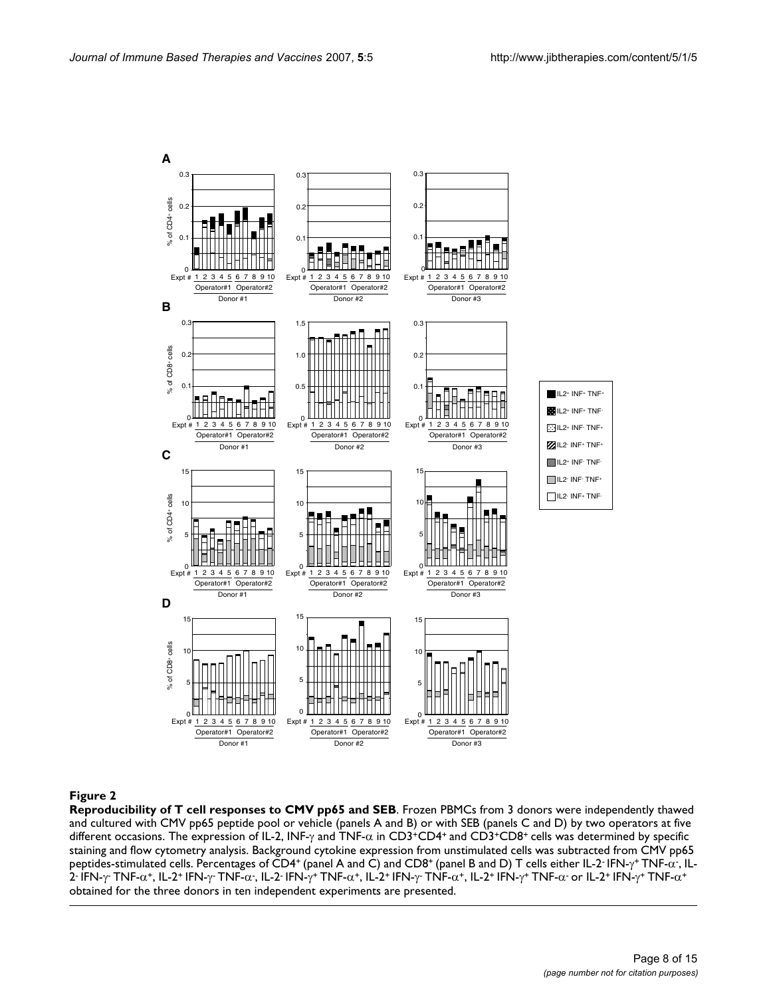

**Reproducibility of T cell responses to CMV pp65 and SEB**. Frozen PBMCs from 3 donors were independently thawed and cultured with CMV pp65 peptide pool or vehicle (panels A and B) or with SEB (panels C and D) by two operators at five different occasions. The expression of IL-2, INF-γ and TNF-α in CD3+CD4+ and CD3+CD8+ cells was determined by specific staining and flow cytometry analysis. Background cytokine expression from unstimulated cells was subtracted from CMV pp65 peptides-stimulated cells. Percentages of CD4\* (panel A and C) and CD8\* (panel B and D) T cells either IL-2<sup>.</sup> IFN-γ\* TNF- $\alpha$  , IL-2 IFN-γ TNF-α\*, IL-2\* IFN-γ TNF-α<sup>-</sup>, IL-2· IFN-γ\* TNF-α\*, IL-2\* IFN-γ TNF-α\*, IL-2\* IFN-γ\* TNF-α- or IL-2\* IFN-γ\* TNF-α\* obtained for the three donors in ten independent experiments are presented.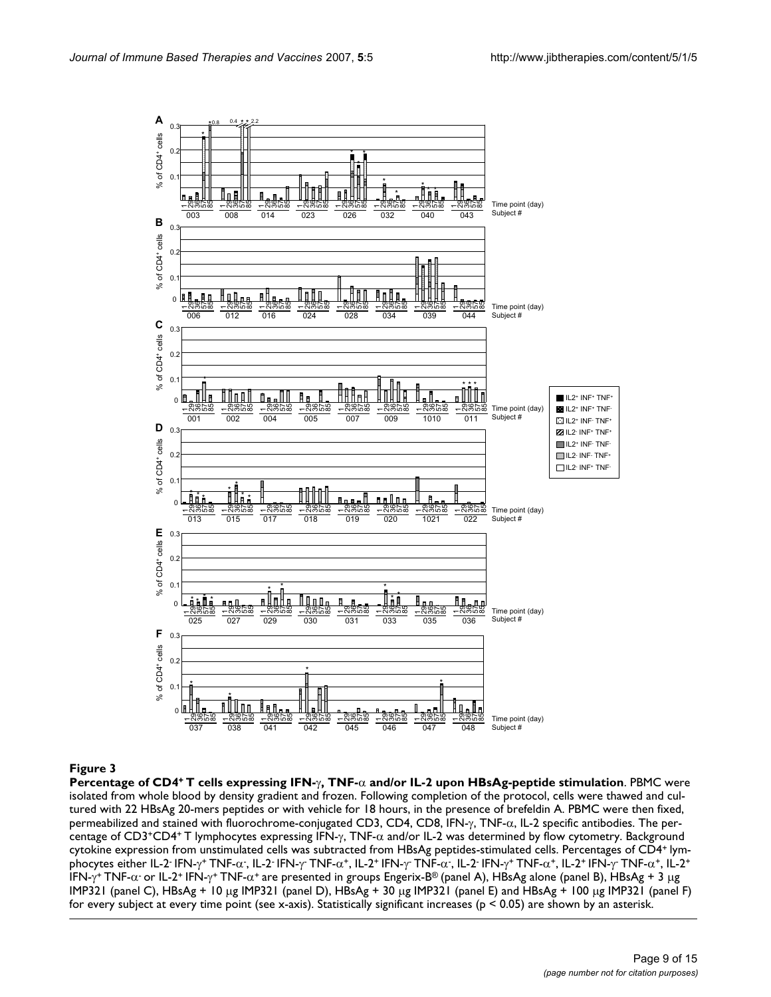

# **Figure 3** + T cells expressing IFN-γ, The and-or IL-2 upon HBsAg-peptide stimulation stimulation in the and-or

**Percentage of CD4+ T cells expressing IFN-**γ**, TNF-**α **and/or IL-2 upon HBsAg-peptide stimulation**. PBMC were isolated from whole blood by density gradient and frozen. Following completion of the protocol, cells were thawed and cultured with 22 HBsAg 20-mers peptides or with vehicle for 18 hours, in the presence of brefeldin A. PBMC were then fixed, permeabilized and stained with fluorochrome-conjugated CD3, CD4, CD8, IFN-γ, TNF-α, IL-2 specific antibodies. The percentage of CD3+CD4+ T lymphocytes expressing IFN-γ, TNF-α and/or IL-2 was determined by flow cytometry. Background cytokine expression from unstimulated cells was subtracted from HBsAg peptides-stimulated cells. Percentages of CD4+ lymphocytes either IL-2<sup>.</sup> IFN-γ<sup>+</sup> TNF-α<sup>-</sup>, IL-2<sup>.</sup> IFN-γ<sup>-</sup> TNF-α<sup>+</sup>, IL-2<sup>+</sup> IFN-γ<sup>-</sup> TNF-α<sup>-</sup>, IL-2<sup>-</sup> IFN-γ<sup>+</sup> TNF-α<sup>+</sup>, IL-4<sup>+</sup> IL-2<sup>+</sup> IFN-γ<sup>+</sup> TNF-α· or IL-2<sup>+</sup> IFN-γ<sup>+</sup> TNF-α<sup>+</sup> are presented in groups Engerix-B<sup>®</sup> (panel A), HBsAg alone (panel B), HBsAg + 3 μg IMP321 (panel C), HBsAg + 10 μg IMP321 (panel D), HBsAg + 30 μg IMP321 (panel E) and HBsAg + 100 μg IMP321 (panel F) for every subject at every time point (see x-axis). Statistically significant increases ( $p < 0.05$ ) are shown by an asterisk.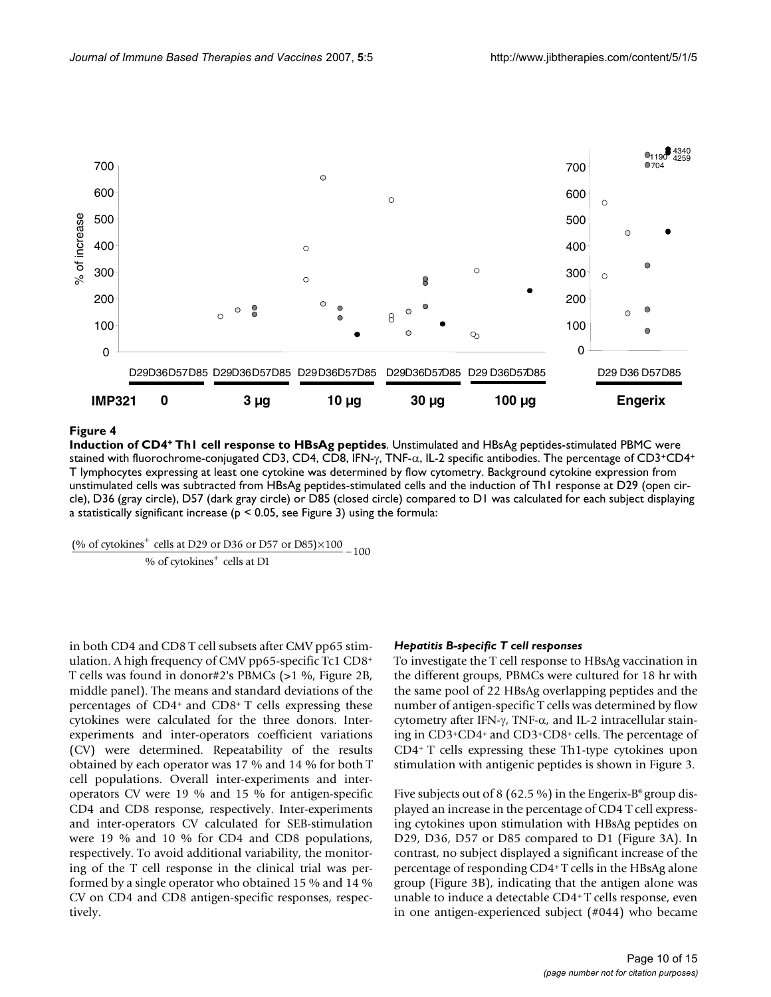

**Induction of CD4+ Th1 cell response to HBsAg peptides**. Unstimulated and HBsAg peptides-stimulated PBMC were stained with fluorochrome-conjugated CD3, CD4, CD8, IFN-γ, TNF-α, IL-2 specific antibodies. The percentage of CD3+CD4+ T lymphocytes expressing at least one cytokine was determined by flow cytometry. Background cytokine expression from unstimulated cells was subtracted from HBsAg peptides-stimulated cells and the induction of Th1 response at D29 (open circle), D36 (gray circle), D57 (dark gray circle) or D85 (closed circle) compared to D1 was calculated for each subject displaying a statistically significant increase ( $p < 0.05$ , see Figure 3) using the formula:

(% of cytokines<sup>+</sup> cells at D29 or D36 or D57 or D85) $\times 100$ % o  $\frac{100 \text{ m/s}}{6 \text{ cytokines}^+ \text{ cells at } D1}$  – 100

in both CD4 and CD8 T cell subsets after CMV pp65 stimulation. A high frequency of CMV pp65-specific Tc1 CD8+ T cells was found in donor#2's PBMCs (>1 %, Figure 2B, middle panel). The means and standard deviations of the percentages of CD4+ and CD8+ T cells expressing these cytokines were calculated for the three donors. Interexperiments and inter-operators coefficient variations (CV) were determined. Repeatability of the results obtained by each operator was 17 % and 14 % for both T cell populations. Overall inter-experiments and interoperators CV were 19 % and 15 % for antigen-specific CD4 and CD8 response, respectively. Inter-experiments and inter-operators CV calculated for SEB-stimulation were 19 % and 10 % for CD4 and CD8 populations, respectively. To avoid additional variability, the monitoring of the T cell response in the clinical trial was performed by a single operator who obtained 15 % and 14 % CV on CD4 and CD8 antigen-specific responses, respectively.

# *Hepatitis B-specific T cell responses*

To investigate the T cell response to HBsAg vaccination in the different groups, PBMCs were cultured for 18 hr with the same pool of 22 HBsAg overlapping peptides and the number of antigen-specific T cells was determined by flow cytometry after IFN-γ, TNF-α, and IL-2 intracellular staining in CD3+CD4+ and CD3+CD8+ cells. The percentage of CD4+ T cells expressing these Th1-type cytokines upon stimulation with antigenic peptides is shown in Figure 3.

Five subjects out of 8 (62.5 %) in the Engerix-B® group displayed an increase in the percentage of CD4 T cell expressing cytokines upon stimulation with HBsAg peptides on D29, D36, D57 or D85 compared to D1 (Figure 3A). In contrast, no subject displayed a significant increase of the percentage of responding CD4+ T cells in the HBsAg alone group (Figure 3B), indicating that the antigen alone was unable to induce a detectable CD4+ T cells response, even in one antigen-experienced subject (#044) who became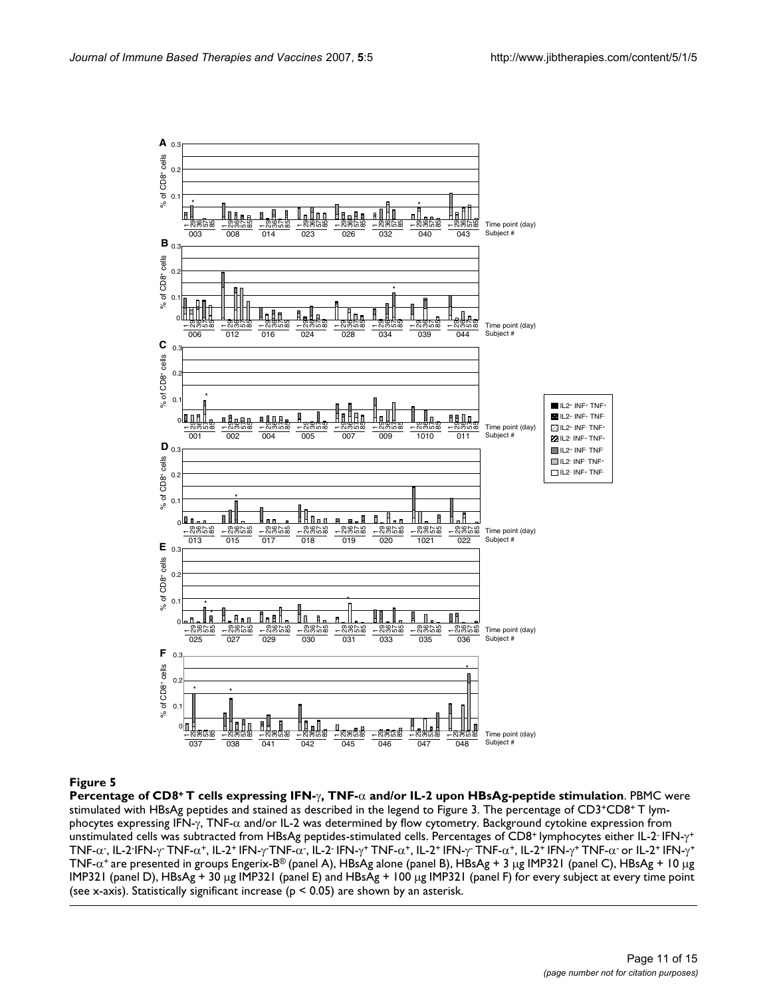

**Percentage of CD8+ T cells expressing IFN-**γ**, TNF-**α **and/or IL-2 upon HBsAg-peptide stimulation**. PBMC were stimulated with HBsAg peptides and stained as described in the legend to Figure 3. The percentage of CD3+CD8+ T lymphocytes expressing IFN-γ, TNF-α and/or IL-2 was determined by flow cytometry. Background cytokine expression from unstimulated cells was subtracted from HBsAg peptides-stimulated cells. Percentages of CD8<sup>+</sup> lymphocytes either IL-2<sup>-</sup> IFN-γ<sup>+</sup> TNF-α-, IL-2·IFN-γ- TNF-α+, IL-2+ IFN-γ-TNF-α-, IL-2· IFN-γ+ TNF-α+, IL-2+ IFN-γ- TNF-α+, IL-2+ IFN-γ+ TNF-α- or IL-2+ IFN-γ+ TNF-α+ are presented in groups Engerix-B® (panel A), HBsAg alone (panel B), HBsAg + 3 μg IMP321 (panel C), HBsAg + 10 μg IMP321 (panel D), HBsAg + 30 μg IMP321 (panel E) and HBsAg + 100 μg IMP321 (panel F) for every subject at every time point (see x-axis). Statistically significant increase ( $p < 0.05$ ) are shown by an asterisk.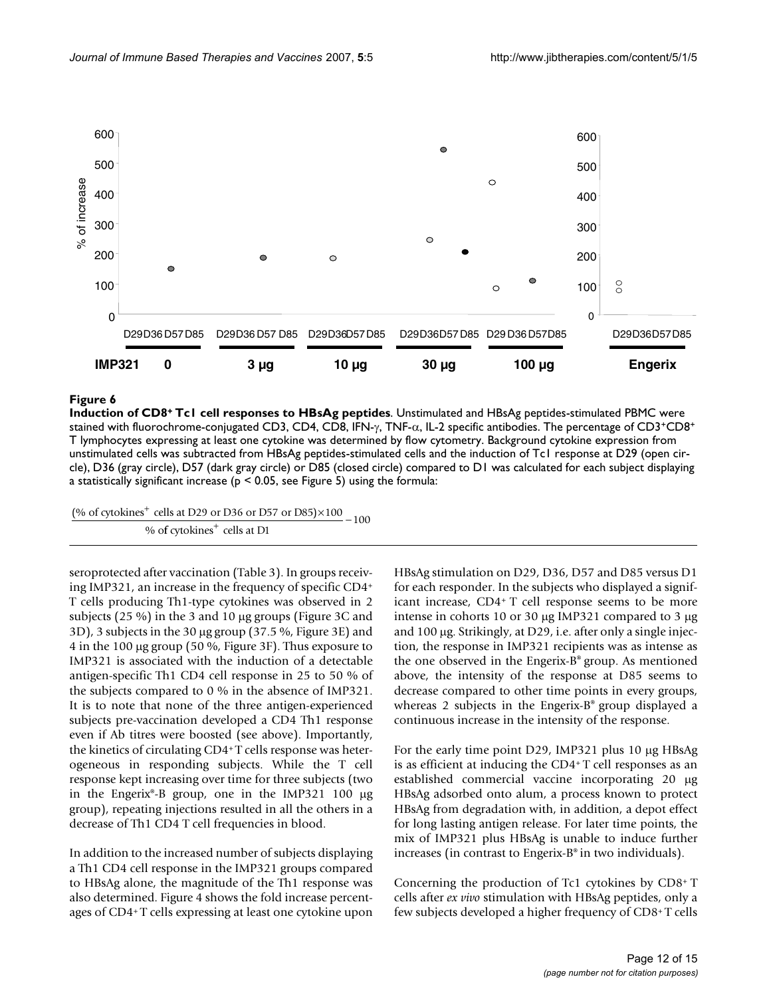

**Induction of CD8+ Tc1 cell responses to HBsAg peptides**. Unstimulated and HBsAg peptides-stimulated PBMC were stained with fluorochrome-conjugated CD3, CD4, CD8, IFN-γ, TNF-α, IL-2 specific antibodies. The percentage of CD3+CD8+ T lymphocytes expressing at least one cytokine was determined by flow cytometry. Background cytokine expression from unstimulated cells was subtracted from HBsAg peptides-stimulated cells and the induction of Tc1 response at D29 (open circle), D36 (gray circle), D57 (dark gray circle) or D85 (closed circle) compared to D1 was calculated for each subject displaying a statistically significant increase ( $p < 0.05$ , see Figure 5) using the formula:

(% of cytokines<sup>+</sup> cells at D29 or D36 or D57 or D85) $\times 100$  $\frac{\text{Cens at } 225 \text{ of } 256 \text{ of } 251 \text{ of } 259 \text{ of } 259 \text{ of } 259 \text{ of } 259 \text{ of } 259 \text{ of } 259 \text{ of } 259 \text{ of } 259 \text{ of } 259 \text{ of } 259 \text{ of } 259 \text{ of } 259 \text{ of } 259 \text{ of } 259 \text{ of } 259 \text{ of } 259 \text{ of } 259 \text{ of } 259 \text{ of } 259 \text{ of } 259 \text{ of } 259$  $-100$ 

seroprotected after vaccination (Table 3). In groups receiving IMP321, an increase in the frequency of specific CD4+ T cells producing Th1-type cytokines was observed in 2 subjects (25 %) in the 3 and 10 μg groups (Figure 3C and 3D), 3 subjects in the 30 μg group (37.5 %, Figure 3E) and 4 in the 100 μg group (50 %, Figure 3F). Thus exposure to IMP321 is associated with the induction of a detectable antigen-specific Th1 CD4 cell response in 25 to 50 % of the subjects compared to 0 % in the absence of IMP321. It is to note that none of the three antigen-experienced subjects pre-vaccination developed a CD4 Th1 response even if Ab titres were boosted (see above). Importantly, the kinetics of circulating CD4+ T cells response was heterogeneous in responding subjects. While the T cell response kept increasing over time for three subjects (two in the Engerix®-B group, one in the IMP321 100 μg group), repeating injections resulted in all the others in a decrease of Th1 CD4 T cell frequencies in blood.

In addition to the increased number of subjects displaying a Th1 CD4 cell response in the IMP321 groups compared to HBsAg alone, the magnitude of the Th1 response was also determined. Figure 4 shows the fold increase percentages of CD4+ T cells expressing at least one cytokine upon

HBsAg stimulation on D29, D36, D57 and D85 versus D1 for each responder. In the subjects who displayed a significant increase, CD4+ T cell response seems to be more intense in cohorts 10 or 30 μg IMP321 compared to 3 μg and 100 μg. Strikingly, at D29, i.e. after only a single injection, the response in IMP321 recipients was as intense as the one observed in the Engerix-B® group. As mentioned above, the intensity of the response at D85 seems to decrease compared to other time points in every groups, whereas 2 subjects in the Engerix-B® group displayed a continuous increase in the intensity of the response.

For the early time point D29, IMP321 plus 10 μg HBsAg is as efficient at inducing the CD4+ T cell responses as an established commercial vaccine incorporating 20 μg HBsAg adsorbed onto alum, a process known to protect HBsAg from degradation with, in addition, a depot effect for long lasting antigen release. For later time points, the mix of IMP321 plus HBsAg is unable to induce further increases (in contrast to Engerix-B® in two individuals).

Concerning the production of Tc1 cytokines by CD8+ T cells after *ex vivo* stimulation with HBsAg peptides, only a few subjects developed a higher frequency of CD8+ T cells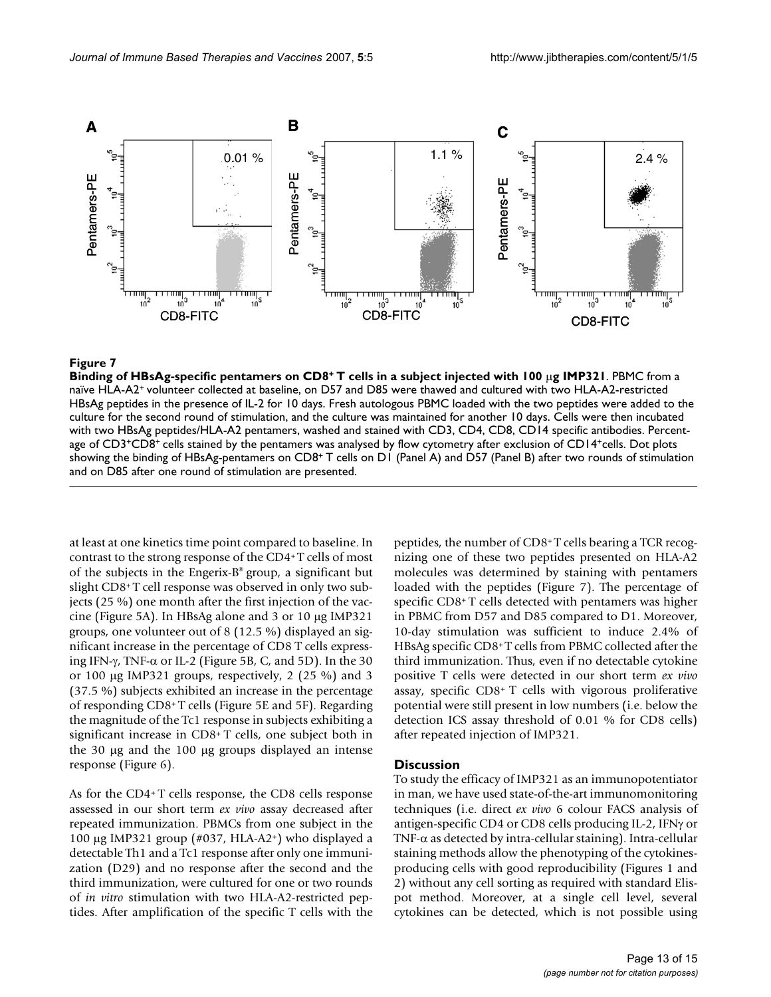

### **Figure 7** Binding of HBsAg-specific pentamers on CD8+ T cells injected with 100  $\mu$ 321  $\mu$ 321  $\mu$ 321  $\mu$ 321  $\mu$ 321  $\mu$ 321  $\mu$ 321  $\mu$ 321  $\mu$ 321  $\mu$ 321  $\mu$ 321  $\mu$ 321  $\mu$ 321  $\mu$ 321  $\mu$ 321  $\mu$ 321  $\mu$ 321  $\mu$ 3

**Binding of HBsAg-specific pentamers on CD8+ T cells in a subject injected with 100** μ**g IMP321**. PBMC from a naïve HLA-A2+ volunteer collected at baseline, on D57 and D85 were thawed and cultured with two HLA-A2-restricted HBsAg peptides in the presence of IL-2 for 10 days. Fresh autologous PBMC loaded with the two peptides were added to the culture for the second round of stimulation, and the culture was maintained for another 10 days. Cells were then incubated with two HBsAg peptides/HLA-A2 pentamers, washed and stained with CD3, CD4, CD8, CD14 specific antibodies. Percentage of CD3+CD8+ cells stained by the pentamers was analysed by flow cytometry after exclusion of CD14+cells. Dot plots showing the binding of HBsAg-pentamers on CD8+ T cells on D1 (Panel A) and D57 (Panel B) after two rounds of stimulation and on D85 after one round of stimulation are presented.

at least at one kinetics time point compared to baseline. In contrast to the strong response of the CD4+ T cells of most of the subjects in the Engerix-B® group, a significant but slight CD8+T cell response was observed in only two subjects (25 %) one month after the first injection of the vaccine (Figure 5A). In HBsAg alone and 3 or 10 μg IMP321 groups, one volunteer out of 8 (12.5 %) displayed an significant increase in the percentage of CD8 T cells expressing IFN- $\gamma$ , TNF- $\alpha$  or IL-2 (Figure 5B, C, and 5D). In the 30 or 100 μg IMP321 groups, respectively, 2 (25 %) and 3 (37.5 %) subjects exhibited an increase in the percentage of responding CD8+ T cells (Figure 5E and 5F). Regarding the magnitude of the Tc1 response in subjects exhibiting a significant increase in CD8+ T cells, one subject both in the 30 μg and the 100 μg groups displayed an intense response (Figure 6).

As for the CD4+ T cells response, the CD8 cells response assessed in our short term *ex vivo* assay decreased after repeated immunization. PBMCs from one subject in the 100 μg IMP321 group (#037, HLA-A2<sup>+</sup>) who displayed a detectable Th1 and a Tc1 response after only one immunization (D29) and no response after the second and the third immunization, were cultured for one or two rounds of *in vitro* stimulation with two HLA-A2-restricted peptides. After amplification of the specific T cells with the peptides, the number of CD8+ T cells bearing a TCR recognizing one of these two peptides presented on HLA-A2 molecules was determined by staining with pentamers loaded with the peptides (Figure 7). The percentage of specific CD8+ T cells detected with pentamers was higher in PBMC from D57 and D85 compared to D1. Moreover, 10-day stimulation was sufficient to induce 2.4% of HBsAg specific CD8+ T cells from PBMC collected after the third immunization. Thus, even if no detectable cytokine positive T cells were detected in our short term *ex vivo* assay, specific CD8+ T cells with vigorous proliferative potential were still present in low numbers (i.e. below the detection ICS assay threshold of 0.01 % for CD8 cells) after repeated injection of IMP321.

#### **Discussion**

To study the efficacy of IMP321 as an immunopotentiator in man, we have used state-of-the-art immunomonitoring techniques (i.e. direct *ex vivo* 6 colour FACS analysis of antigen-specific CD4 or CD8 cells producing IL-2, IFNγ or TNF- $\alpha$  as detected by intra-cellular staining). Intra-cellular staining methods allow the phenotyping of the cytokinesproducing cells with good reproducibility (Figures 1 and 2) without any cell sorting as required with standard Elispot method. Moreover, at a single cell level, several cytokines can be detected, which is not possible using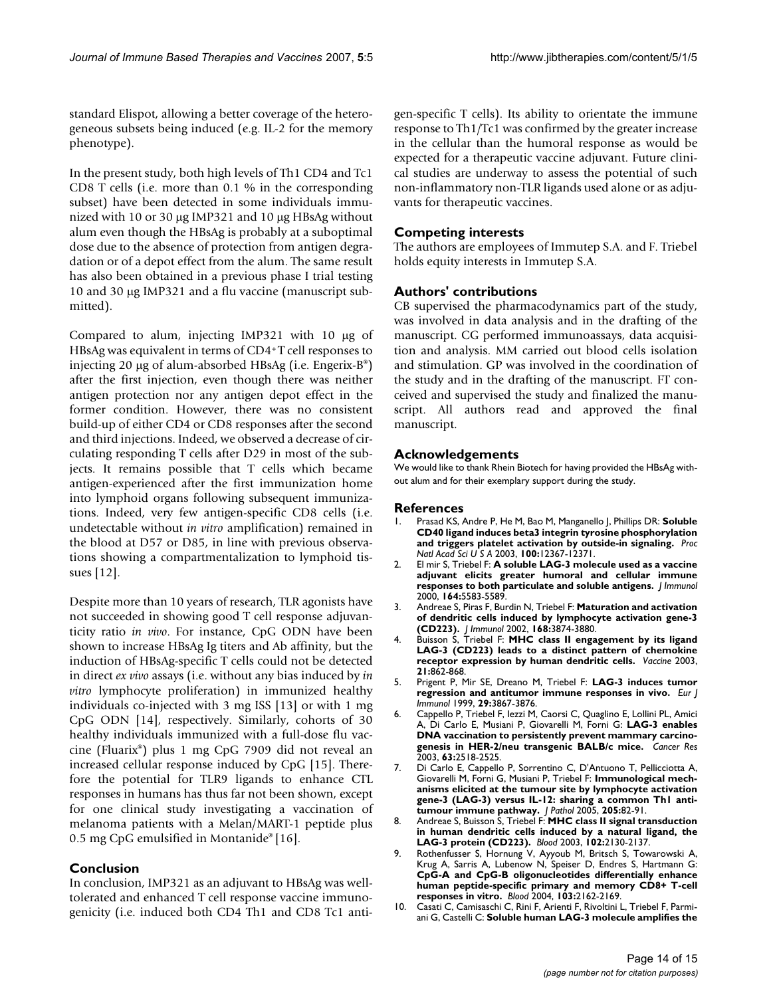standard Elispot, allowing a better coverage of the heterogeneous subsets being induced (e.g. IL-2 for the memory phenotype).

In the present study, both high levels of Th1 CD4 and Tc1 CD8 T cells (i.e. more than 0.1 % in the corresponding subset) have been detected in some individuals immunized with 10 or 30 μg IMP321 and 10 μg HBsAg without alum even though the HBsAg is probably at a suboptimal dose due to the absence of protection from antigen degradation or of a depot effect from the alum. The same result has also been obtained in a previous phase I trial testing 10 and 30 μg IMP321 and a flu vaccine (manuscript submitted).

Compared to alum, injecting IMP321 with 10 μg of HBsAg was equivalent in terms of CD4+ T cell responses to injecting 20 μg of alum-absorbed HBsAg (i.e. Engerix-B®) after the first injection, even though there was neither antigen protection nor any antigen depot effect in the former condition. However, there was no consistent build-up of either CD4 or CD8 responses after the second and third injections. Indeed, we observed a decrease of circulating responding T cells after D29 in most of the subjects. It remains possible that T cells which became antigen-experienced after the first immunization home into lymphoid organs following subsequent immunizations. Indeed, very few antigen-specific CD8 cells (i.e. undetectable without *in vitro* amplification) remained in the blood at D57 or D85, in line with previous observations showing a compartmentalization to lymphoid tissues [12].

Despite more than 10 years of research, TLR agonists have not succeeded in showing good T cell response adjuvanticity ratio *in vivo*. For instance, CpG ODN have been shown to increase HBsAg Ig titers and Ab affinity, but the induction of HBsAg-specific T cells could not be detected in direct *ex vivo* assays (i.e. without any bias induced by *in vitro* lymphocyte proliferation) in immunized healthy individuals co-injected with 3 mg ISS [13] or with 1 mg CpG ODN [14], respectively. Similarly, cohorts of 30 healthy individuals immunized with a full-dose flu vaccine (Fluarix®) plus 1 mg CpG 7909 did not reveal an increased cellular response induced by CpG [15]. Therefore the potential for TLR9 ligands to enhance CTL responses in humans has thus far not been shown, except for one clinical study investigating a vaccination of melanoma patients with a Melan/MART-1 peptide plus 0.5 mg CpG emulsified in Montanide® [16].

# **Conclusion**

In conclusion, IMP321 as an adjuvant to HBsAg was welltolerated and enhanced T cell response vaccine immunogenicity (i.e. induced both CD4 Th1 and CD8 Tc1 antigen-specific T cells). Its ability to orientate the immune response to Th1/Tc1 was confirmed by the greater increase in the cellular than the humoral response as would be expected for a therapeutic vaccine adjuvant. Future clinical studies are underway to assess the potential of such non-inflammatory non-TLR ligands used alone or as adjuvants for therapeutic vaccines.

# **Competing interests**

The authors are employees of Immutep S.A. and F. Triebel holds equity interests in Immutep S.A.

# **Authors' contributions**

CB supervised the pharmacodynamics part of the study, was involved in data analysis and in the drafting of the manuscript. CG performed immunoassays, data acquisition and analysis. MM carried out blood cells isolation and stimulation. GP was involved in the coordination of the study and in the drafting of the manuscript. FT conceived and supervised the study and finalized the manuscript. All authors read and approved the final manuscript.

# **Acknowledgements**

We would like to thank Rhein Biotech for having provided the HBsAg without alum and for their exemplary support during the study.

# **References**

- 1. Prasad KS, Andre P, He M, Bao M, Manganello J, Phillips DR: **[Soluble](http://www.ncbi.nlm.nih.gov/entrez/query.fcgi?cmd=Retrieve&db=PubMed&dopt=Abstract&list_uids=14519852) [CD40 ligand induces beta3 integrin tyrosine phosphorylation](http://www.ncbi.nlm.nih.gov/entrez/query.fcgi?cmd=Retrieve&db=PubMed&dopt=Abstract&list_uids=14519852) [and triggers platelet activation by outside-in signaling.](http://www.ncbi.nlm.nih.gov/entrez/query.fcgi?cmd=Retrieve&db=PubMed&dopt=Abstract&list_uids=14519852)** *Proc Natl Acad Sci U S A* 2003, **100:**12367-12371.
- 2. El mir S, Triebel F: **[A soluble LAG-3 molecule used as a vaccine](http://www.ncbi.nlm.nih.gov/entrez/query.fcgi?cmd=Retrieve&db=PubMed&dopt=Abstract&list_uids=10820232) [adjuvant elicits greater humoral and cellular immune](http://www.ncbi.nlm.nih.gov/entrez/query.fcgi?cmd=Retrieve&db=PubMed&dopt=Abstract&list_uids=10820232) [responses to both particulate and soluble antigens.](http://www.ncbi.nlm.nih.gov/entrez/query.fcgi?cmd=Retrieve&db=PubMed&dopt=Abstract&list_uids=10820232)** *J Immunol* 2000, **164:**5583-5589.
- 3. Andreae S, Piras F, Burdin N, Triebel F: **[Maturation and activation](http://www.ncbi.nlm.nih.gov/entrez/query.fcgi?cmd=Retrieve&db=PubMed&dopt=Abstract&list_uids=11937541) [of dendritic cells induced by lymphocyte activation gene-3](http://www.ncbi.nlm.nih.gov/entrez/query.fcgi?cmd=Retrieve&db=PubMed&dopt=Abstract&list_uids=11937541) [\(CD223\).](http://www.ncbi.nlm.nih.gov/entrez/query.fcgi?cmd=Retrieve&db=PubMed&dopt=Abstract&list_uids=11937541)** *J Immunol* 2002, **168:**3874-3880.
- 4. Buisson S, Triebel F: **[MHC class II engagement by its ligand](http://www.ncbi.nlm.nih.gov/entrez/query.fcgi?cmd=Retrieve&db=PubMed&dopt=Abstract&list_uids=12547595) [LAG-3 \(CD223\) leads to a distinct pattern of chemokine](http://www.ncbi.nlm.nih.gov/entrez/query.fcgi?cmd=Retrieve&db=PubMed&dopt=Abstract&list_uids=12547595) [receptor expression by human dendritic cells.](http://www.ncbi.nlm.nih.gov/entrez/query.fcgi?cmd=Retrieve&db=PubMed&dopt=Abstract&list_uids=12547595)** *Vaccine* 2003, **21:**862-868.
- 5. Prigent P, Mir SE, Dreano M, Triebel F: **[LAG-3 induces tumor](http://www.ncbi.nlm.nih.gov/entrez/query.fcgi?cmd=Retrieve&db=PubMed&dopt=Abstract&list_uids=10601994) [regression and antitumor immune responses in vivo.](http://www.ncbi.nlm.nih.gov/entrez/query.fcgi?cmd=Retrieve&db=PubMed&dopt=Abstract&list_uids=10601994)** *Eur J Immunol* 1999, **29:**3867-3876.
- 6. Cappello P, Triebel F, Iezzi M, Caorsi C, Quaglino E, Lollini PL, Amici A, Di Carlo E, Musiani P, Giovarelli M, Forni G: **[LAG-3 enables](http://www.ncbi.nlm.nih.gov/entrez/query.fcgi?cmd=Retrieve&db=PubMed&dopt=Abstract&list_uids=12750275) [DNA vaccination to persistently prevent mammary carcino](http://www.ncbi.nlm.nih.gov/entrez/query.fcgi?cmd=Retrieve&db=PubMed&dopt=Abstract&list_uids=12750275)[genesis in HER-2/neu transgenic BALB/c mice.](http://www.ncbi.nlm.nih.gov/entrez/query.fcgi?cmd=Retrieve&db=PubMed&dopt=Abstract&list_uids=12750275)** *Cancer Res* 2003, **63:**2518-2525.
- 7. Di Carlo E, Cappello P, Sorrentino C, D'Antuono T, Pellicciotta A, Giovarelli M, Forni G, Musiani P, Triebel F: **[Immunological mech](http://www.ncbi.nlm.nih.gov/entrez/query.fcgi?cmd=Retrieve&db=PubMed&dopt=Abstract&list_uids=15586367)[anisms elicited at the tumour site by lymphocyte activation](http://www.ncbi.nlm.nih.gov/entrez/query.fcgi?cmd=Retrieve&db=PubMed&dopt=Abstract&list_uids=15586367) gene-3 (LAG-3) versus IL-12: sharing a common Th1 anti[tumour immune pathway.](http://www.ncbi.nlm.nih.gov/entrez/query.fcgi?cmd=Retrieve&db=PubMed&dopt=Abstract&list_uids=15586367)** *J Pathol* 2005, **205:**82-91.
- 8. Andreae S, Buisson S, Triebel F: **[MHC class II signal transduction](http://www.ncbi.nlm.nih.gov/entrez/query.fcgi?cmd=Retrieve&db=PubMed&dopt=Abstract&list_uids=12775570) [in human dendritic cells induced by a natural ligand, the](http://www.ncbi.nlm.nih.gov/entrez/query.fcgi?cmd=Retrieve&db=PubMed&dopt=Abstract&list_uids=12775570) [LAG-3 protein \(CD223\).](http://www.ncbi.nlm.nih.gov/entrez/query.fcgi?cmd=Retrieve&db=PubMed&dopt=Abstract&list_uids=12775570)** *Blood* 2003, **102:**2130-2137.
- 9. Rothenfusser S, Hornung V, Ayyoub M, Britsch S, Towarowski A, Krug A, Sarris A, Lubenow N, Speiser D, Endres S, Hartmann G: **[CpG-A and CpG-B oligonucleotides differentially enhance](http://www.ncbi.nlm.nih.gov/entrez/query.fcgi?cmd=Retrieve&db=PubMed&dopt=Abstract&list_uids=14630815) human peptide-specific primary and memory CD8+ T-cell [responses in vitro.](http://www.ncbi.nlm.nih.gov/entrez/query.fcgi?cmd=Retrieve&db=PubMed&dopt=Abstract&list_uids=14630815)** *Blood* 2004, **103:**2162-2169.
- 10. Casati C, Camisaschi C, Rini F, Arienti F, Rivoltini L, Triebel F, Parmiani G, Castelli C: **[Soluble human LAG-3 molecule amplifies the](http://www.ncbi.nlm.nih.gov/entrez/query.fcgi?cmd=Retrieve&db=PubMed&dopt=Abstract&list_uids=16618772)**